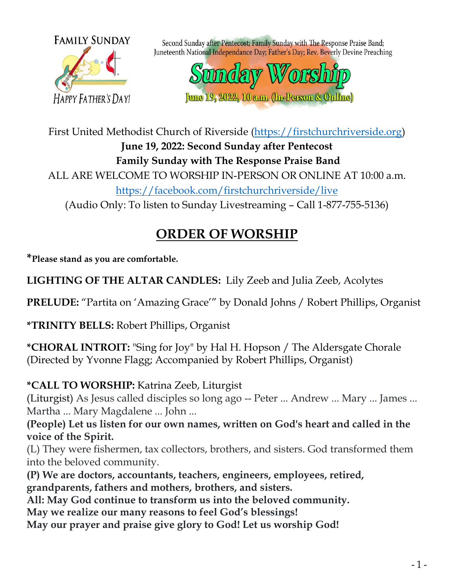

Second Sunday after Pentecost; Family Sunday with The Response Praise Band; Juneteenth National Independance Day; Father's Day; Rev. Beverly Devine Preaching



First United Methodist Church of Riverside [\(https://firstchurchriverside.org\)](https://firstchurchriverside.org/) **June 19, 2022: Second Sunday after Pentecost Family Sunday with The Response Praise Band**

ALL ARE WELCOME TO WORSHIP IN-PERSON OR ONLINE AT 10:00 a.m.

<https://facebook.com/firstchurchriverside/live>

(Audio Only: To listen to Sunday Livestreaming – Call 1-877-755-5136)

# **ORDER OF WORSHIP**

**\*Please stand as you are comfortable.**

**LIGHTING OF THE ALTAR CANDLES:** Lily Zeeb and Julia Zeeb, Acolytes

**PRELUDE:** "Partita on 'Amazing Grace'" by Donald Johns / Robert Phillips, Organist

**\*TRINITY BELLS:** Robert Phillips, Organist

**\*CHORAL INTROIT:** "Sing for Joy" by Hal H. Hopson / The Aldersgate Chorale (Directed by Yvonne Flagg; Accompanied by Robert Phillips, Organist)

**\*CALL TO WORSHIP:** Katrina Zeeb, Liturgist

(Liturgist) As Jesus called disciples so long ago -- Peter ... Andrew ... Mary ... James ... Martha ... Mary Magdalene ... John ...

**(People) Let us listen for our own names, written on God's heart and called in the voice of the Spirit.**

(L) They were fishermen, tax collectors, brothers, and sisters. God transformed them into the beloved community.

**(P) We are doctors, accountants, teachers, engineers, employees, retired, grandparents, fathers and mothers, brothers, and sisters.**

**All: May God continue to transform us into the beloved community.** 

**May we realize our many reasons to feel God's blessings!** 

**May our prayer and praise give glory to God! Let us worship God!**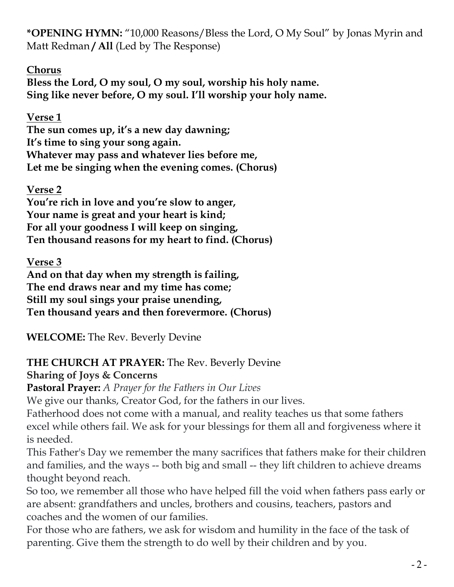**\*OPENING HYMN:** "10,000 Reasons/Bless the Lord, O My Soul" by Jonas Myrin and Matt Redman **/ All** (Led by The Response)

### **Chorus**

**Bless the Lord, O my soul, O my soul, worship his holy name. Sing like never before, O my soul. I'll worship your holy name.**

### **Verse 1**

**The sun comes up, it's a new day dawning; It's time to sing your song again. Whatever may pass and whatever lies before me, Let me be singing when the evening comes. (Chorus)**

#### **Verse 2**

**You're rich in love and you're slow to anger, Your name is great and your heart is kind; For all your goodness I will keep on singing, Ten thousand reasons for my heart to find. (Chorus)**

#### **Verse 3**

**And on that day when my strength is failing, The end draws near and my time has come; Still my soul sings your praise unending, Ten thousand years and then forevermore. (Chorus)**

**WELCOME:** The Rev. Beverly Devine

# **THE CHURCH AT PRAYER:** The Rev. Beverly Devine

**Sharing of Joys & Concerns**

**Pastoral Prayer:** *A Prayer for the Fathers in Our Lives*

We give our thanks, Creator God, for the fathers in our lives.

Fatherhood does not come with a manual, and reality teaches us that some fathers excel while others fail. We ask for your blessings for them all and forgiveness where it is needed.

This Father's Day we remember the many sacrifices that fathers make for their children and families, and the ways -- both big and small -- they lift children to achieve dreams thought beyond reach.

So too, we remember all those who have helped fill the void when fathers pass early or are absent: grandfathers and uncles, brothers and cousins, teachers, pastors and coaches and the women of our families.

For those who are fathers, we ask for wisdom and humility in the face of the task of parenting. Give them the strength to do well by their children and by you.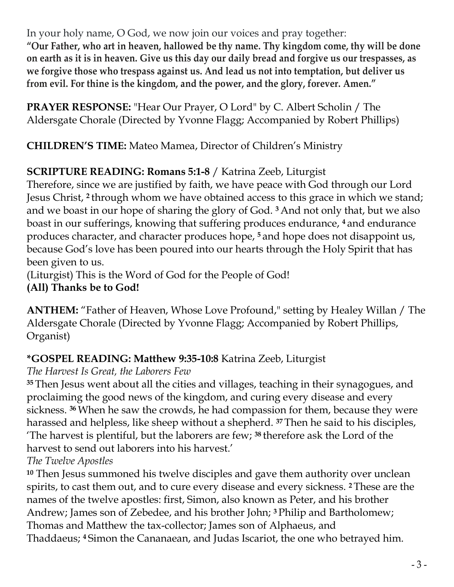In your holy name, O God, we now join our voices and pray together: **"Our Father, who art in heaven, hallowed be thy name. Thy kingdom come, thy will be done** on earth as it is in heaven. Give us this day our daily bread and forgive us our trespasses, as **we forgive those who trespass against us. And lead us not into temptation, but deliver us from evil. For thine is the kingdom, and the power, and the glory, forever. Amen."**

**PRAYER RESPONSE:** "Hear Our Prayer, O Lord" by C. Albert Scholin / The Aldersgate Chorale (Directed by Yvonne Flagg; Accompanied by Robert Phillips)

**CHILDREN'S TIME:** Mateo Mamea, Director of Children's Ministry

# **SCRIPTURE READING: Romans 5:1-8** / Katrina Zeeb, Liturgist

Therefore, since we are justified by faith, we have peace with God through our Lord Jesus Christ, **<sup>2</sup>** through whom we have obtained access to this grace in which we stand; and we boast in our hope of sharing the glory of God. **<sup>3</sup>** And not only that, but we also boast in our sufferings, knowing that suffering produces endurance, **<sup>4</sup>** and endurance produces character, and character produces hope, **<sup>5</sup>** and hope does not disappoint us, because God's love has been poured into our hearts through the Holy Spirit that has been given to us.

(Liturgist) This is the Word of God for the People of God! **(All) Thanks be to God!**

**ANTHEM:** "Father of Heaven, Whose Love Profound," setting by Healey Willan / The Aldersgate Chorale (Directed by Yvonne Flagg; Accompanied by Robert Phillips, Organist)

## **\*GOSPEL READING: Matthew 9:35-10:8** Katrina Zeeb, Liturgist

*The Harvest Is Great, the Laborers Few*

**<sup>35</sup>** Then Jesus went about all the cities and villages, teaching in their synagogues, and proclaiming the good news of the kingdom, and curing every disease and every sickness. **<sup>36</sup>**When he saw the crowds, he had compassion for them, because they were harassed and helpless, like sheep without a shepherd. **<sup>37</sup>** Then he said to his disciples, 'The harvest is plentiful, but the laborers are few; **<sup>38</sup>** therefore ask the Lord of the harvest to send out laborers into his harvest.'

*The Twelve Apostles*

**<sup>10</sup>** Then Jesus summoned his twelve disciples and gave them authority over unclean spirits, to cast them out, and to cure every disease and every sickness. **<sup>2</sup>** These are the names of the twelve apostles: first, Simon, also known as Peter, and his brother Andrew; James son of Zebedee, and his brother John; **<sup>3</sup>** Philip and Bartholomew; Thomas and Matthew the tax-collector; James son of Alphaeus, and Thaddaeus; **<sup>4</sup>** Simon the Cananaean, and Judas Iscariot, the one who betrayed him.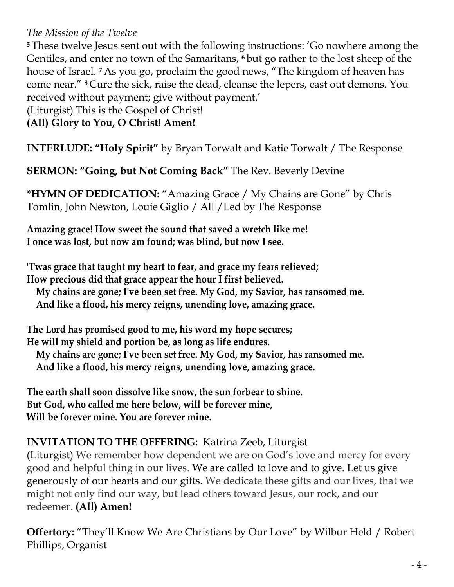#### *The Mission of the Twelve*

**<sup>5</sup>** These twelve Jesus sent out with the following instructions: 'Go nowhere among the Gentiles, and enter no town of the Samaritans, **<sup>6</sup>** but go rather to the lost sheep of the house of Israel. **<sup>7</sup>** As you go, proclaim the good news, "The kingdom of heaven has come near." **<sup>8</sup>** Cure the sick, raise the dead, cleanse the lepers, cast out demons. You received without payment; give without payment.'

(Liturgist) This is the Gospel of Christ!

**(All) Glory to You, O Christ! Amen!**

**INTERLUDE: "Holy Spirit"** by Bryan Torwalt and Katie Torwalt / The Response

**SERMON: "Going, but Not Coming Back"** The Rev. Beverly Devine

**\*HYMN OF DEDICATION:** "Amazing Grace / My Chains are Gone" by Chris Tomlin, John Newton, Louie Giglio / All /Led by The Response

**Amazing grace! How sweet the sound that saved a wretch like me! I once was lost, but now am found; was blind, but now I see.**

**'Twas grace that taught my heart to fear, and grace my fears relieved; How precious did that grace appear the hour I first believed.**

**My chains are gone; I've been set free. My God, my Savior, has ransomed me. And like a flood, his mercy reigns, unending love, amazing grace.**

**The Lord has promised good to me, his word my hope secures; He will my shield and portion be, as long as life endures.**

**My chains are gone; I've been set free. My God, my Savior, has ransomed me. And like a flood, his mercy reigns, unending love, amazing grace.**

**The earth shall soon dissolve like snow, the sun forbear to shine. But God, who called me here below, will be forever mine, Will be forever mine. You are forever mine.**

### **INVITATION TO THE OFFERING:** Katrina Zeeb, Liturgist

(Liturgist) We remember how dependent we are on God's love and mercy for every good and helpful thing in our lives. We are called to love and to give. Let us give generously of our hearts and our gifts. We dedicate these gifts and our lives, that we might not only find our way, but lead others toward Jesus, our rock, and our redeemer. **(All) Amen!**

**Offertory:** "They'll Know We Are Christians by Our Love" by Wilbur Held / Robert Phillips, Organist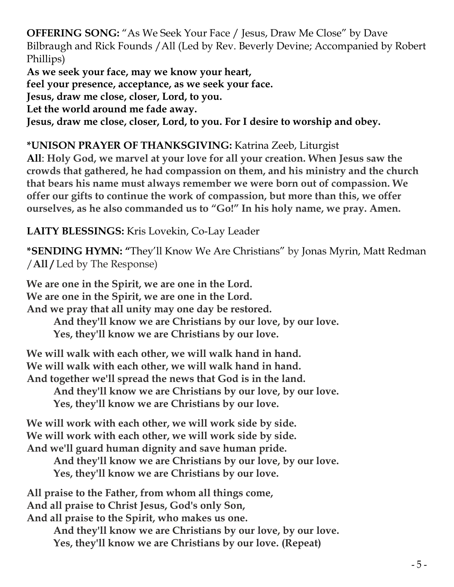**OFFERING SONG:** "As We Seek Your Face / Jesus, Draw Me Close" by Dave Bilbraugh and Rick Founds /All (Led by Rev. Beverly Devine; Accompanied by Robert Phillips)

**As we seek your face, may we know your heart, feel your presence, acceptance, as we seek your face. Jesus, draw me close, closer, Lord, to you. Let the world around me fade away. Jesus, draw me close, closer, Lord, to you. For I desire to worship and obey.**

**\*UNISON PRAYER OF THANKSGIVING:** Katrina Zeeb, Liturgist **All**: **Holy God, we marvel at your love for all your creation. When Jesus saw the crowds that gathered, he had compassion on them, and his ministry and the church that bears his name must always remember we were born out of compassion. We offer our gifts to continue the work of compassion, but more than this, we offer ourselves, as he also commanded us to "Go!" In his holy name, we pray. Amen.**

**LAITY BLESSINGS:** Kris Lovekin, Co-Lay Leader

**\*SENDING HYMN: "**They'll Know We Are Christians" by Jonas Myrin, Matt Redman /**All /** Led by The Response)

**We are one in the Spirit, we are one in the Lord. We are one in the Spirit, we are one in the Lord.**

**And we pray that all unity may one day be restored.**

**And they'll know we are Christians by our love, by our love.**

**Yes, they'll know we are Christians by our love.**

**We will walk with each other, we will walk hand in hand. We will walk with each other, we will walk hand in hand. And together we'll spread the news that God is in the land.**

**And they'll know we are Christians by our love, by our love.**

**Yes, they'll know we are Christians by our love.**

**We will work with each other, we will work side by side. We will work with each other, we will work side by side. And we'll guard human dignity and save human pride.**

**And they'll know we are Christians by our love, by our love. Yes, they'll know we are Christians by our love.**

**All praise to the Father, from whom all things come, And all praise to Christ Jesus, God's only Son, And all praise to the Spirit, who makes us one.**

**And they'll know we are Christians by our love, by our love. Yes, they'll know we are Christians by our love. (Repeat)**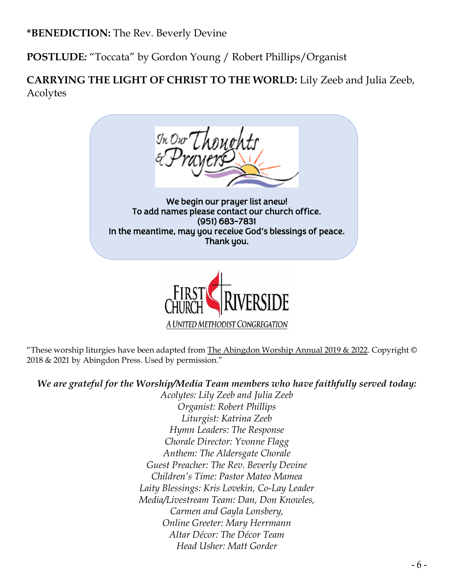**\*BENEDICTION:** The Rev. Beverly Devine

**POSTLUDE***:* "Toccata" by Gordon Young / Robert Phillips/Organist

**CARRYING THE LIGHT OF CHRIST TO THE WORLD:** Lily Zeeb and Julia Zeeb, Acolytes



"These worship liturgies have been adapted from The Abingdon Worship Annual 2019 & 2022. Copyright © 2018 & 2021 by Abingdon Press. Used by permission."

A UNITED METHODIST CONGREGATION

*We are grateful for the Worship/Media Team members who have faithfully served today: Acolytes: Lily Zeeb and Julia Zeeb Organist: Robert Phillips Liturgist: Katrina Zeeb Hymn Leaders: The Response Chorale Director: Yvonne Flagg Anthem: The Aldersgate Chorale Guest Preacher: The Rev. Beverly Devine Children's Time: Pastor Mateo Mamea Laity Blessings: Kris Lovekin, Co-Lay Leader Media/Livestream Team: Dan, Don Knowles, Carmen and Gayla Lonsbery, Online Greeter: Mary Herrmann Altar Décor: The Décor Team Head Usher: Matt Gorder*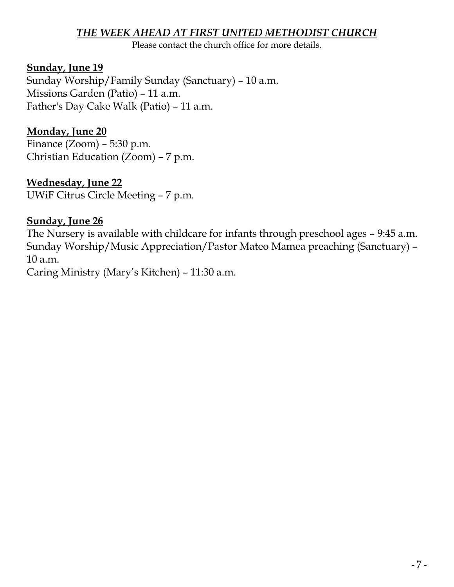#### *THE WEEK AHEAD AT FIRST UNITED METHODIST CHURCH*

Please contact the church office for more details.

#### **Sunday, June 19**

Sunday Worship/Family Sunday (Sanctuary) – 10 a.m. Missions Garden (Patio) – 11 a.m. Father's Day Cake Walk (Patio) – 11 a.m.

#### **Monday, June 20**

Finance (Zoom) – 5:30 p.m. Christian Education (Zoom) – 7 p.m.

#### **Wednesday, June 22**

UWiF Citrus Circle Meeting – 7 p.m.

#### **Sunday, June 26**

The Nursery is available with childcare for infants through preschool ages – 9:45 a.m. Sunday Worship/Music Appreciation/Pastor Mateo Mamea preaching (Sanctuary) – 10 a.m.

Caring Ministry (Mary's Kitchen) – 11:30 a.m.